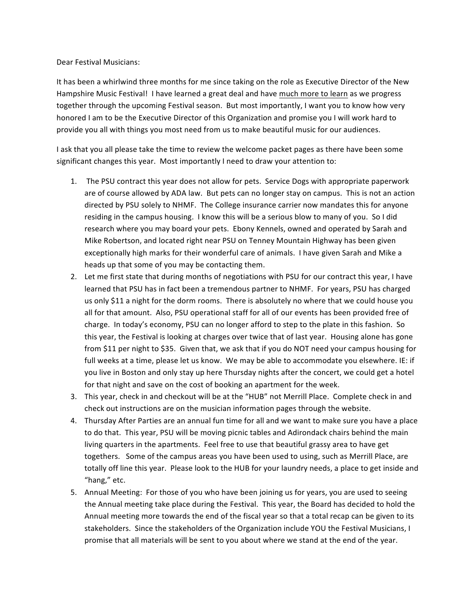Dear Festival Musicians:

It has been a whirlwind three months for me since taking on the role as Executive Director of the New Hampshire Music Festival! I have learned a great deal and have much more to learn as we progress together through the upcoming Festival season. But most importantly, I want you to know how very honored I am to be the Executive Director of this Organization and promise you I will work hard to provide you all with things you most need from us to make beautiful music for our audiences.

I ask that you all please take the time to review the welcome packet pages as there have been some significant changes this year. Most importantly I need to draw your attention to:

- 1. The PSU contract this year does not allow for pets. Service Dogs with appropriate paperwork are of course allowed by ADA law. But pets can no longer stay on campus. This is not an action directed by PSU solely to NHMF. The College insurance carrier now mandates this for anyone residing in the campus housing. I know this will be a serious blow to many of you. So I did research where you may board your pets. Ebony Kennels, owned and operated by Sarah and Mike Robertson, and located right near PSU on Tenney Mountain Highway has been given exceptionally high marks for their wonderful care of animals. I have given Sarah and Mike a heads up that some of you may be contacting them.
- 2. Let me first state that during months of negotiations with PSU for our contract this year, I have learned that PSU has in fact been a tremendous partner to NHMF. For years, PSU has charged us only \$11 a night for the dorm rooms. There is absolutely no where that we could house you all for that amount. Also, PSU operational staff for all of our events has been provided free of charge. In today's economy, PSU can no longer afford to step to the plate in this fashion. So this year, the Festival is looking at charges over twice that of last year. Housing alone has gone from \$11 per night to \$35. Given that, we ask that if you do NOT need your campus housing for full weeks at a time, please let us know. We may be able to accommodate you elsewhere. IE: if you live in Boston and only stay up here Thursday nights after the concert, we could get a hotel for that night and save on the cost of booking an apartment for the week.
- 3. This year, check in and checkout will be at the "HUB" not Merrill Place. Complete check in and check out instructions are on the musician information pages through the website.
- 4. Thursday After Parties are an annual fun time for all and we want to make sure you have a place to do that. This year, PSU will be moving picnic tables and Adirondack chairs behind the main living quarters in the apartments. Feel free to use that beautiful grassy area to have get togethers. Some of the campus areas you have been used to using, such as Merrill Place, are totally off line this year. Please look to the HUB for your laundry needs, a place to get inside and "hang," etc.
- 5. Annual Meeting: For those of you who have been joining us for years, you are used to seeing the Annual meeting take place during the Festival. This year, the Board has decided to hold the Annual meeting more towards the end of the fiscal year so that a total recap can be given to its stakeholders. Since the stakeholders of the Organization include YOU the Festival Musicians, I promise that all materials will be sent to you about where we stand at the end of the year.